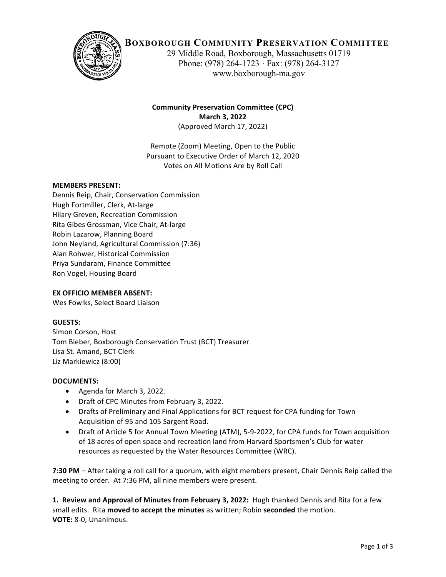

# **BOXBOROUGH COMMUNITY PRESERVATION COMMITTEE**

29 Middle Road, Boxborough, Massachusetts 01719 Phone: (978) 264-1723 **·** Fax: (978) 264-3127 www.boxborough-ma.gov

## **Community Preservation Committee (CPC) March 3, 2022** (Approved March 17, 2022)

Remote (Zoom) Meeting, Open to the Public Pursuant to Executive Order of March 12, 2020 Votes on All Motions Are by Roll Call

## **MEMBERS PRESENT:**

Dennis Reip, Chair, Conservation Commission Hugh Fortmiller, Clerk, At-large Hilary Greven, Recreation Commission Rita Gibes Grossman, Vice Chair, At-large Robin Lazarow, Planning Board John Neyland, Agricultural Commission (7:36) Alan Rohwer, Historical Commission Priya Sundaram, Finance Committee Ron Vogel, Housing Board

#### **EX OFFICIO MEMBER ABSENT:**

Wes Fowlks, Select Board Liaison

#### **GUESTS:**

Simon Corson, Host Tom Bieber, Boxborough Conservation Trust (BCT) Treasurer Lisa St. Amand, BCT Clerk Liz Markiewicz (8:00)

#### **DOCUMENTS:**

- Agenda for March 3, 2022.
- Draft of CPC Minutes from February 3, 2022.
- Drafts of Preliminary and Final Applications for BCT request for CPA funding for Town Acquisition of 95 and 105 Sargent Road.
- Draft of Article 5 for Annual Town Meeting (ATM), 5-9-2022, for CPA funds for Town acquisition of 18 acres of open space and recreation land from Harvard Sportsmen's Club for water resources as requested by the Water Resources Committee (WRC).

**7:30 PM** – After taking a roll call for a quorum, with eight members present, Chair Dennis Reip called the meeting to order. At 7:36 PM, all nine members were present.

**1. Review and Approval of Minutes from February 3, 2022: Hugh thanked Dennis and Rita for a few** small edits. Rita **moved to accept the minutes** as written; Robin seconded the motion. **VOTE:** 8-0, Unanimous.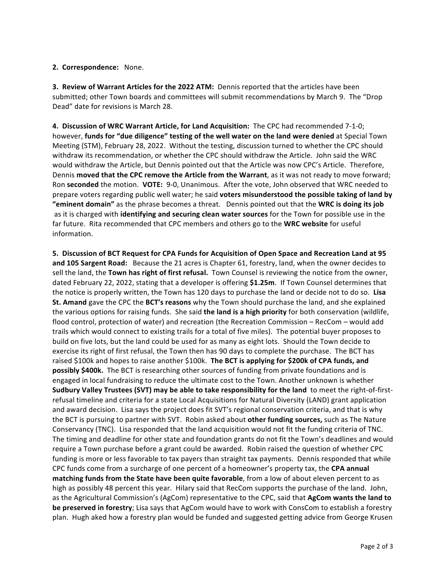## 2. Correspondence: None.

**3. Review of Warrant Articles for the 2022 ATM:** Dennis reported that the articles have been submitted; other Town boards and committees will submit recommendations by March 9. The "Drop Dead" date for revisions is March 28.

**4. Discussion of WRC Warrant Article, for Land Acquisition:** The CPC had recommended 7-1-0; however, funds for "due diligence" testing of the well water on the land were denied at Special Town Meeting (STM), February 28, 2022. Without the testing, discussion turned to whether the CPC should withdraw its recommendation, or whether the CPC should withdraw the Article. John said the WRC would withdraw the Article, but Dennis pointed out that the Article was now CPC's Article. Therefore, Dennis **moved that the CPC remove the Article from the Warrant**, as it was not ready to move forward; Ron seconded the motion. VOTE: 9-0, Unanimous. After the vote, John observed that WRC needed to prepare voters regarding public well water; he said voters misunderstood the possible taking of land by "eminent domain" as the phrase becomes a threat. Dennis pointed out that the WRC is doing its job as it is charged with **identifying and securing clean water sources** for the Town for possible use in the far future. Rita recommended that CPC members and others go to the WRC website for useful information.

**5. Discussion of BCT Request for CPA Funds for Acquisition of Open Space and Recreation Land at 95 and 105 Sargent Road:** Because the 21 acres is Chapter 61, forestry, land, when the owner decides to sell the land, the **Town has right of first refusal.** Town Counsel is reviewing the notice from the owner, dated February 22, 2022, stating that a developer is offering \$1.25m. If Town Counsel determines that the notice is properly written, the Town has 120 days to purchase the land or decide not to do so. Lisa **St. Amand** gave the CPC the **BCT's reasons** why the Town should purchase the land, and she explained the various options for raising funds. She said the land is a high priority for both conservation (wildlife, flood control, protection of water) and recreation (the Recreation Commission – RecCom – would add trails which would connect to existing trails for a total of five miles). The potential buyer proposes to build on five lots, but the land could be used for as many as eight lots. Should the Town decide to exercise its right of first refusal, the Town then has 90 days to complete the purchase. The BCT has raised \$100k and hopes to raise another \$100k. The BCT is applying for \$200k of CPA funds, and **possibly \$400k.** The BCT is researching other sources of funding from private foundations and is engaged in local fundraising to reduce the ultimate cost to the Town. Another unknown is whether **Sudbury Valley Trustees (SVT) may be able to take responsibility for the land** to meet the right-of-firstrefusal timeline and criteria for a state Local Acquisitions for Natural Diversity (LAND) grant application and award decision. Lisa says the project does fit SVT's regional conservation criteria, and that is why the BCT is pursuing to partner with SVT. Robin asked about other funding sources, such as The Nature Conservancy (TNC). Lisa responded that the land acquisition would not fit the funding criteria of TNC. The timing and deadline for other state and foundation grants do not fit the Town's deadlines and would require a Town purchase before a grant could be awarded. Robin raised the question of whether CPC funding is more or less favorable to tax payers than straight tax payments. Dennis responded that while CPC funds come from a surcharge of one percent of a homeowner's property tax, the CPA annual **matching funds from the State have been quite favorable**, from a low of about eleven percent to as high as possibly 48 percent this year. Hilary said that RecCom supports the purchase of the land. John, as the Agricultural Commission's (AgCom) representative to the CPC, said that **AgCom wants the land to be preserved in forestry**; Lisa says that AgCom would have to work with ConsCom to establish a forestry plan. Hugh aked how a forestry plan would be funded and suggested getting advice from George Krusen